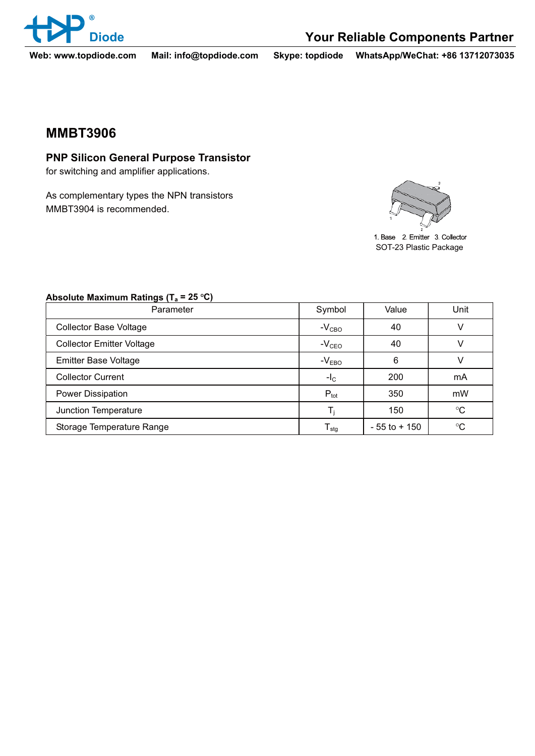

**Web: www.topdiode.com Mail: info@topdiode.com Skype: topdiode WhatsApp/WeChat: +86 13712073035**

## **MMBT3906 MMBT3906**

**Produced Benefits In Purpose Transistor For Silicon** 

As complementary types the NPN transistors MMBT3904 is recommended.



1 Base 2 Emitter 3 Collector SOT-23 Plastic Package

| Parameter                        | Symbol                      | Value           | Unit            |
|----------------------------------|-----------------------------|-----------------|-----------------|
| <b>Collector Base Voltage</b>    | $-V_{CBO}$                  | 40              |                 |
| <b>Collector Emitter Voltage</b> | $-VCEO$                     | 40              |                 |
| <b>Emitter Base Voltage</b>      | $-VEBO$                     | 6               |                 |
| <b>Collector Current</b>         | $-I_{\rm C}$                | 200             | mA              |
| Power Dissipation                | $P_{\text{tot}}$            | 350             | mW              |
| Junction Temperature             |                             | 150             | $\rm ^{\circ}C$ |
| Storage Temperature Range        | $\mathsf{T}_{\textsf{stg}}$ | $-55$ to $+150$ | °C              |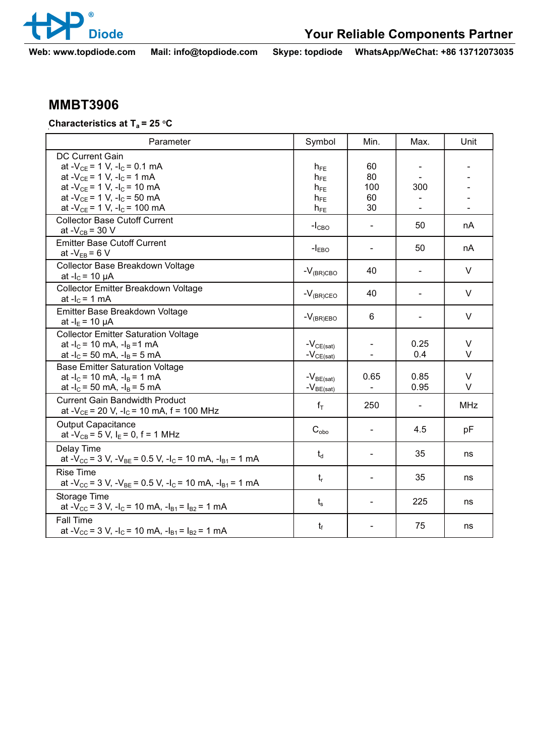

**Web: www.topdiode.com Mail: info@topdiode.com Skype: topdiode WhatsApp/WeChat: +86 13712073035**

**Cherosterieties Characteristics at Ta = 25 <sup>O</sup> C** 

| Parameter                                                                                                                                                                                                                                                       | Symbol                                                   | Min.                        | Max.                            | Unit             |
|-----------------------------------------------------------------------------------------------------------------------------------------------------------------------------------------------------------------------------------------------------------------|----------------------------------------------------------|-----------------------------|---------------------------------|------------------|
| <b>DC Current Gain</b><br>at - $V_{CE}$ = 1 V, -l <sub>C</sub> = 0.1 mA<br>at - $V_{CE}$ = 1 V, -l <sub>C</sub> = 1 mA<br>at - $V_{CE}$ = 1 V, - $I_C$ = 10 mA<br>at - $V_{CE}$ = 1 V, -l <sub>c</sub> = 50 mA<br>at - $V_{CE}$ = 1 V, -l <sub>c</sub> = 100 mA | $h_{FE}$<br>$h_{FE}$<br>$h_{FE}$<br>$h_{FE}$<br>$h_{FE}$ | 60<br>80<br>100<br>60<br>30 | 300<br>$\overline{\phantom{a}}$ |                  |
| <b>Collector Base Cutoff Current</b><br>at $-V_{CB} = 30 V$                                                                                                                                                                                                     | $-ICBO$                                                  | $\overline{\phantom{a}}$    | 50                              | nA               |
| <b>Emitter Base Cutoff Current</b><br>at $-V_{EB} = 6 V$                                                                                                                                                                                                        | $-IEBO$                                                  |                             | 50                              | nA               |
| Collector Base Breakdown Voltage<br>at $-I_c = 10 \mu A$                                                                                                                                                                                                        | $-V_{(BR)CBO}$                                           | 40                          |                                 | V                |
| Collector Emitter Breakdown Voltage<br>at $-IC = 1$ mA                                                                                                                                                                                                          | $-V_{(BR)CEO}$                                           | 40                          |                                 | V                |
| Emitter Base Breakdown Voltage<br>at - $I_E$ = 10 $\mu$ A                                                                                                                                                                                                       | $-V_{(BR)EBO}$                                           | 6                           | $\blacksquare$                  | $\vee$           |
| <b>Collector Emitter Saturation Voltage</b><br>at $-I_c = 10$ mA, $-I_B = 1$ mA<br>at $-I_c = 50$ mA, $-I_B = 5$ mA                                                                                                                                             | $-V_{CE(sat)}$<br>$-V_{CE(sat)}$                         |                             | 0.25<br>0.4                     | $\vee$<br>$\vee$ |
| <b>Base Emitter Saturation Voltage</b><br>at $-I_c$ = 10 mA, $-I_B$ = 1 mA<br>at $-I_c = 50$ mA, $-I_B = 5$ mA                                                                                                                                                  | $-V_{BE(sat)}$<br>$-V_{BE(sat)}$                         | 0.65                        | 0.85<br>0.95                    | $\vee$<br>V      |
| <b>Current Gain Bandwidth Product</b><br>at - $V_{CE}$ = 20 V, -l <sub>C</sub> = 10 mA, f = 100 MHz                                                                                                                                                             | $f_T$                                                    | 250                         | $\overline{\phantom{a}}$        | <b>MHz</b>       |
| <b>Output Capacitance</b><br>at - $V_{CB}$ = 5 V, I <sub>E</sub> = 0, f = 1 MHz                                                                                                                                                                                 | $C_{\text{obo}}$                                         |                             | 4.5                             | pF               |
| Delay Time<br>at $-V_{CC}$ = 3 V, $-V_{BE}$ = 0.5 V, $-I_C$ = 10 mA, $-I_{B1}$ = 1 mA                                                                                                                                                                           | $t_d$                                                    |                             | 35                              | ns               |
| <b>Rise Time</b><br>at - $V_{CC}$ = 3 V, - $V_{BE}$ = 0.5 V, - $I_C$ = 10 mA, - $I_{B1}$ = 1 mA                                                                                                                                                                 | $t_{r}$                                                  |                             | 35                              | ns               |
| Storage Time<br>at $-V_{CC}$ = 3 V, $-I_C$ = 10 mA, $-I_{B1}$ = $I_{B2}$ = 1 mA                                                                                                                                                                                 | $t_{\rm s}$                                              | $\overline{\phantom{a}}$    | 225                             | ns               |
| <b>Fall Time</b><br>at $-V_{CC}$ = 3 V, -l <sub>C</sub> = 10 mA, -l <sub>B1</sub> = l <sub>B2</sub> = 1 mA                                                                                                                                                      | $t_{\rm f}$                                              |                             | 75                              | ns               |